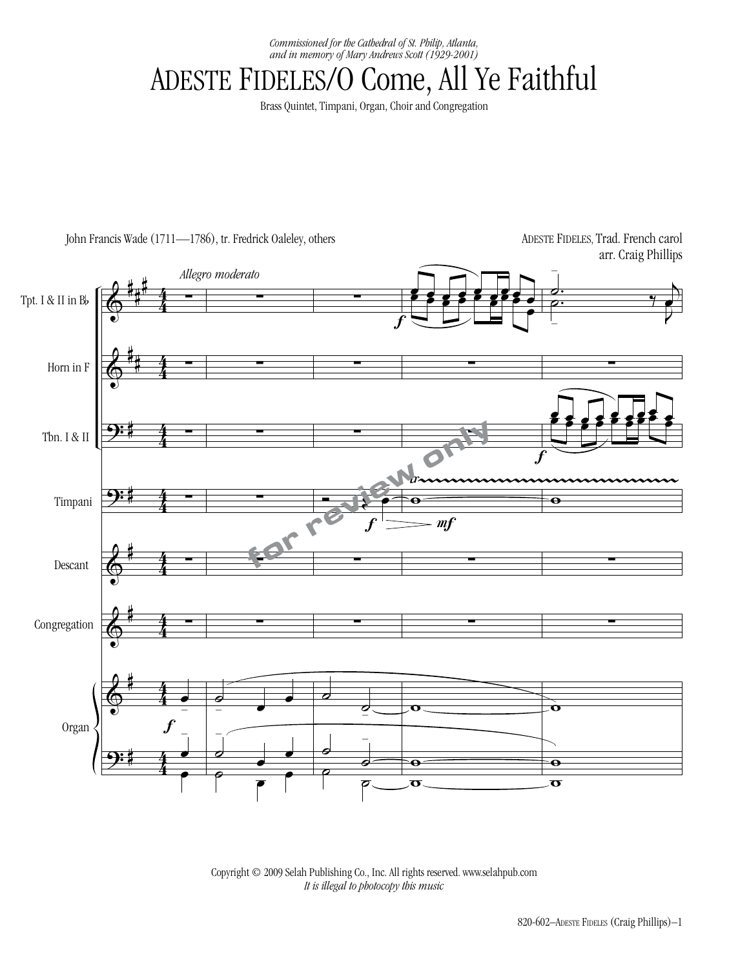*Commissioned for the Cathedral of St. Philip, Atlanta, and in memory of Mary Andrews Scott (1929-2001)*

## ADESTE FIDELES/O Come, All Ye Faithful

Brass Quintet, Timpani, Organ, Choir and Congregation



Copyright ' 2009 Selah Publishing Co., Inc. All rights reserved. www.selahpub.com Copyright © 2009 Selah Publishing Co., Inc. All rights reserved. www.selahpub.com *It is illegal to photocopy this music*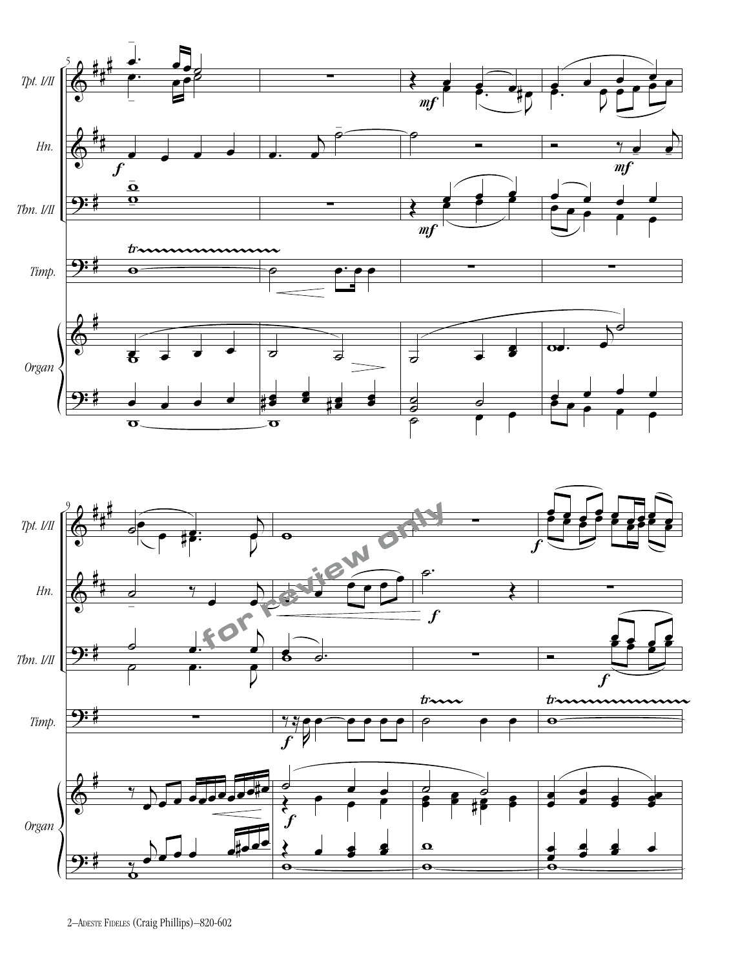

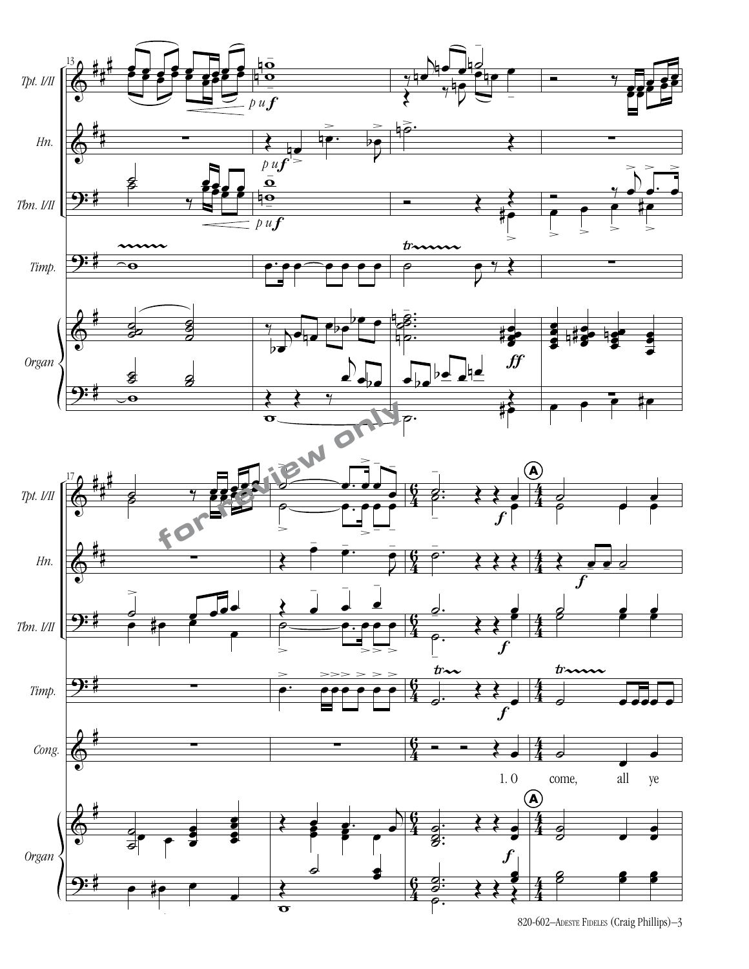

<sup>820-602-</sup>ADESTE FIDELES (Craig Phillips)-3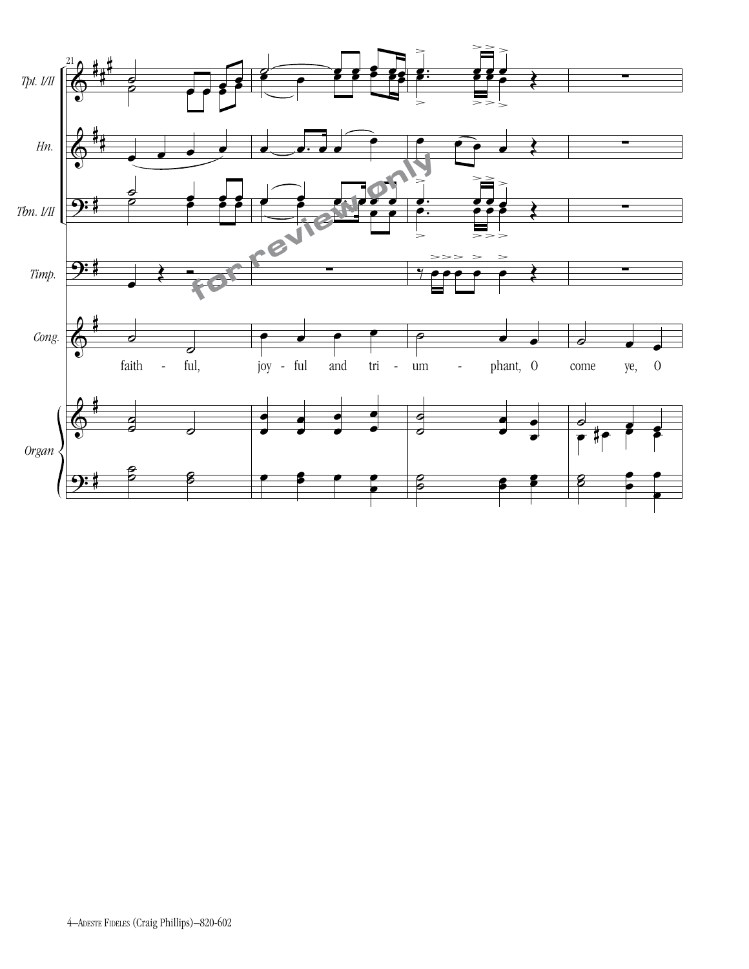